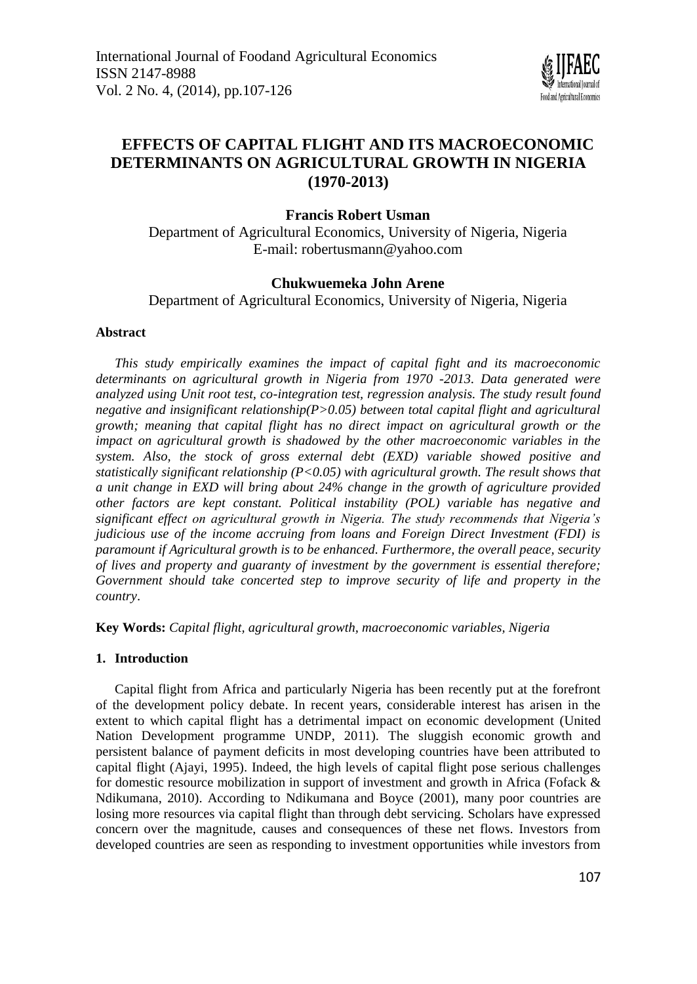

# **EFFECTS OF CAPITAL FLIGHT AND ITS MACROECONOMIC DETERMINANTS ON AGRICULTURAL GROWTH IN NIGERIA (1970-2013)**

**Francis Robert Usman**

Department of Agricultural Economics, University of Nigeria, Nigeria E-mail: [robertusmann@yahoo.com](mailto:robertusmann@yahoo.com)

## **Chukwuemeka John Arene**

Department of Agricultural Economics, University of Nigeria, Nigeria

## **Abstract**

*This study empirically examines the impact of capital fight and its macroeconomic determinants on agricultural growth in Nigeria from 1970 -2013. Data generated were analyzed using Unit root test, co-integration test, regression analysis. The study result found negative and insignificant relationship(P>0.05) between total capital flight and agricultural growth; meaning that capital flight has no direct impact on agricultural growth or the impact on agricultural growth is shadowed by the other macroeconomic variables in the system. Also, the stock of gross external debt (EXD) variable showed positive and statistically significant relationship (P<0.05) with agricultural growth. The result shows that a unit change in EXD will bring about 24% change in the growth of agriculture provided other factors are kept constant. Political instability (POL) variable has negative and significant effect on agricultural growth in Nigeria. The study recommends that Nigeria's judicious use of the income accruing from loans and Foreign Direct Investment (FDI) is paramount if Agricultural growth is to be enhanced. Furthermore, the overall peace, security of lives and property and guaranty of investment by the government is essential therefore; Government should take concerted step to improve security of life and property in the country*.

**Key Words:** *Capital flight, agricultural growth, macroeconomic variables, Nigeria*

## **1. Introduction**

Capital flight from Africa and particularly Nigeria has been recently put at the forefront of the development policy debate. In recent years, considerable interest has arisen in the extent to which capital flight has a detrimental impact on economic development (United Nation Development programme UNDP, 2011). The sluggish economic growth and persistent balance of payment deficits in most developing countries have been attributed to capital flight (Ajayi, 1995). Indeed, the high levels of capital flight pose serious challenges for domestic resource mobilization in support of investment and growth in Africa (Fofack & Ndikumana, 2010). According to Ndikumana and Boyce (2001), many poor countries are losing more resources via capital flight than through debt servicing. Scholars have expressed concern over the magnitude, causes and consequences of these net flows. Investors from developed countries are seen as responding to investment opportunities while investors from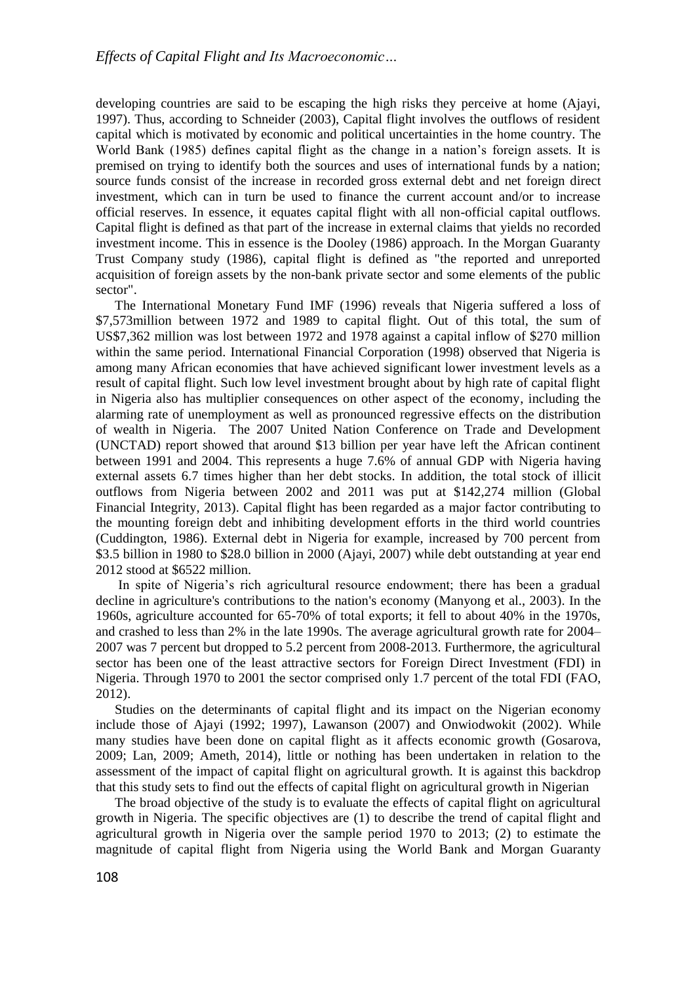developing countries are said to be escaping the high risks they perceive at home (Ajayi, 1997). Thus, according to Schneider (2003), Capital flight involves the outflows of resident capital which is motivated by economic and political uncertainties in the home country. The World Bank (1985) defines capital flight as the change in a nation's foreign assets. It is premised on trying to identify both the sources and uses of international funds by a nation; source funds consist of the increase in recorded gross external debt and net foreign direct investment, which can in turn be used to finance the current account and/or to increase official reserves. In essence, it equates capital flight with all non-official capital outflows. Capital flight is defined as that part of the increase in external claims that yields no recorded investment income. This in essence is the Dooley (1986) approach. In the Morgan Guaranty Trust Company study (1986), capital flight is defined as "the reported and unreported acquisition of foreign assets by the non-bank private sector and some elements of the public sector".

The International Monetary Fund IMF (1996) reveals that Nigeria suffered a loss of \$7,573million between 1972 and 1989 to capital flight. Out of this total, the sum of US\$7,362 million was lost between 1972 and 1978 against a capital inflow of \$270 million within the same period. International Financial Corporation (1998) observed that Nigeria is among many African economies that have achieved significant lower investment levels as a result of capital flight. Such low level investment brought about by high rate of capital flight in Nigeria also has multiplier consequences on other aspect of the economy, including the alarming rate of unemployment as well as pronounced regressive effects on the distribution of wealth in Nigeria. The 2007 United Nation Conference on Trade and Development (UNCTAD) report showed that around \$13 billion per year have left the African continent between 1991 and 2004. This represents a huge 7.6% of annual GDP with Nigeria having external assets 6.7 times higher than her debt stocks. In addition, the total stock of illicit outflows from Nigeria between 2002 and 2011 was put at \$142,274 million (Global Financial Integrity, 2013). Capital flight has been regarded as a major factor contributing to the mounting foreign debt and inhibiting development efforts in the third world countries (Cuddington, 1986). External debt in Nigeria for example, increased by 700 percent from \$3.5 billion in 1980 to \$28.0 billion in 2000 (Ajayi, 2007) while debt outstanding at year end 2012 stood at \$6522 million.

In spite of Nigeria's rich agricultural resource endowment; there has been a gradual decline in agriculture's contributions to the nation's economy (Manyong et al., 2003). In the 1960s, agriculture accounted for 65-70% of total exports; it fell to about 40% in the 1970s, and crashed to less than 2% in the late 1990s. The average agricultural growth rate for 2004– 2007 was 7 percent but dropped to 5.2 percent from 2008-2013. Furthermore, the agricultural sector has been one of the least attractive sectors for Foreign Direct Investment (FDI) in Nigeria. Through 1970 to 2001 the sector comprised only 1.7 percent of the total FDI (FAO, 2012).

Studies on the determinants of capital flight and its impact on the Nigerian economy include those of Ajayi (1992; 1997), Lawanson (2007) and Onwiodwokit (2002). While many studies have been done on capital flight as it affects economic growth (Gosarova, 2009; Lan, 2009; Ameth, 2014), little or nothing has been undertaken in relation to the assessment of the impact of capital flight on agricultural growth. It is against this backdrop that this study sets to find out the effects of capital flight on agricultural growth in Nigerian

The broad objective of the study is to evaluate the effects of capital flight on agricultural growth in Nigeria. The specific objectives are (1) to describe the trend of capital flight and agricultural growth in Nigeria over the sample period 1970 to 2013; (2) to estimate the magnitude of capital flight from Nigeria using the World Bank and Morgan Guaranty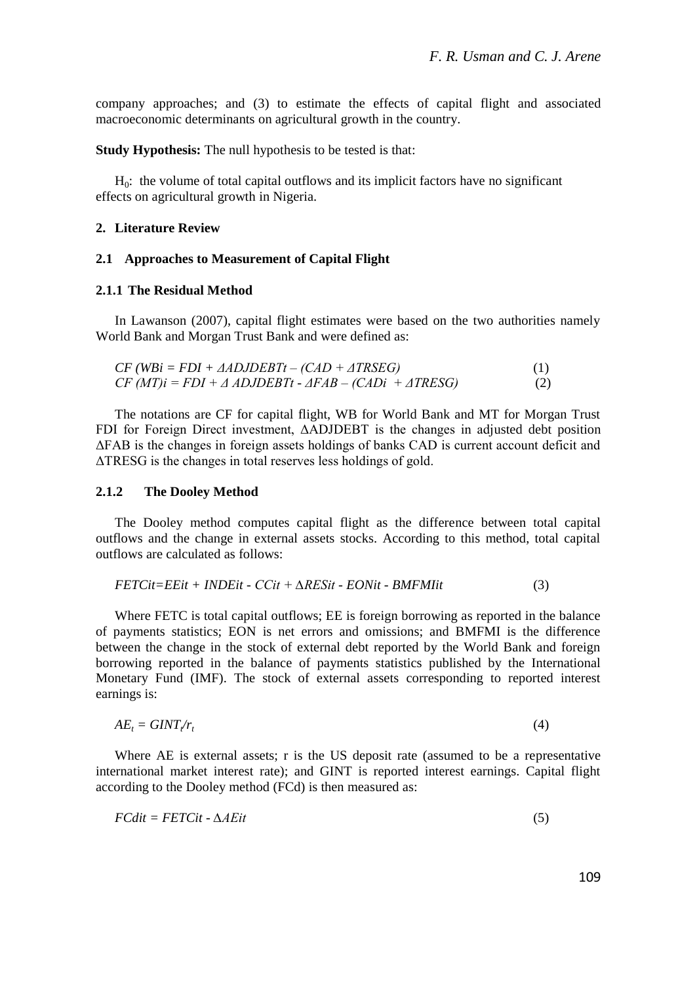company approaches; and (3) to estimate the effects of capital flight and associated macroeconomic determinants on agricultural growth in the country.

**Study Hypothesis:** The null hypothesis to be tested is that:

 $H<sub>0</sub>$ : the volume of total capital outflows and its implicit factors have no significant effects on agricultural growth in Nigeria.

## **2. Literature Review**

### **2.1 Approaches to Measurement of Capital Flight**

#### **2.1.1 The Residual Method**

In Lawanson (2007), capital flight estimates were based on the two authorities namely World Bank and Morgan Trust Bank and were defined as:

$$
CF (WBi = FDI + \triangle ADJDEBTt - (CAD + \triangle TRSEG)
$$
  
\n
$$
CF (MT)i = FDI + \triangle ADJDEBTt - \triangle FAB - (CADi + \triangle TRESG)
$$
\n(1)

The notations are CF for capital flight, WB for World Bank and MT for Morgan Trust FDI for Foreign Direct investment, ΔADJDEBT is the changes in adjusted debt position ΔFAB is the changes in foreign assets holdings of banks CAD is current account deficit and ΔTRESG is the changes in total reserves less holdings of gold.

## **2.1.2 The Dooley Method**

The Dooley method computes capital flight as the difference between total capital outflows and the change in external assets stocks. According to this method, total capital outflows are calculated as follows:

$$
FETCit = EEit + INDEit - CCit + \Delta RESit - EONit - BMFMIit
$$
 (3)

Where FETC is total capital outflows; EE is foreign borrowing as reported in the balance of payments statistics; EON is net errors and omissions; and BMFMI is the difference between the change in the stock of external debt reported by the World Bank and foreign borrowing reported in the balance of payments statistics published by the International Monetary Fund (IMF). The stock of external assets corresponding to reported interest earnings is:

$$
AE_t = GINT/r_t \tag{4}
$$

Where AE is external assets; r is the US deposit rate (assumed to be a representative international market interest rate); and GINT is reported interest earnings. Capital flight according to the Dooley method (FCd) is then measured as:

$$
FCdit = FETCit - \Delta AEit \tag{5}
$$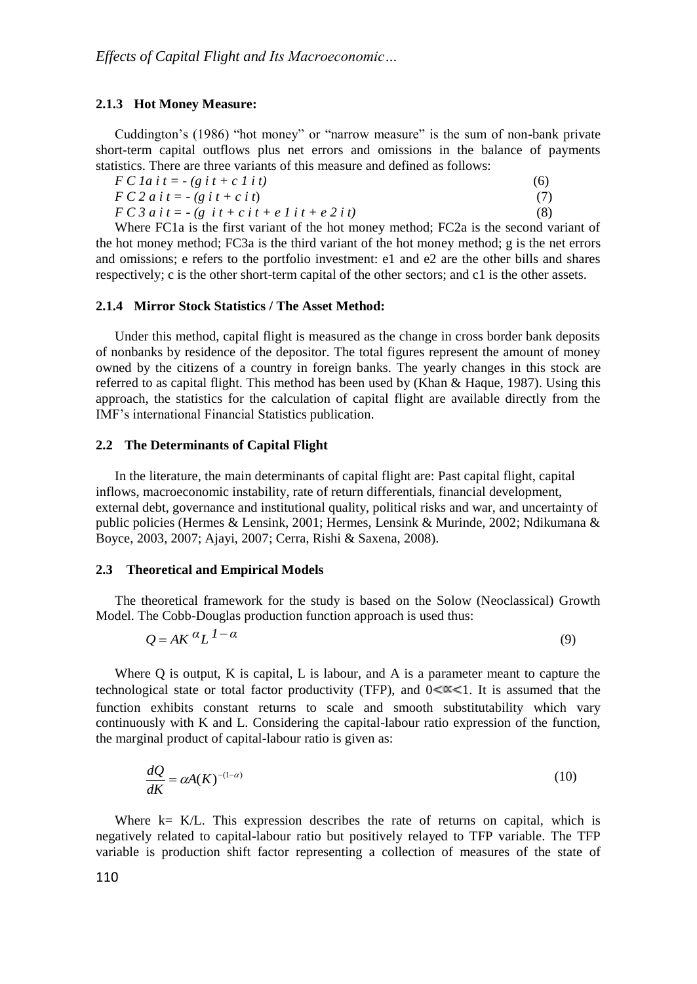#### **2.1.3 Hot Money Measure:**

Cuddington's (1986) "hot money" or "narrow measure" is the sum of non-bank private short-term capital outflows plus net errors and omissions in the balance of payments statistics. There are three variants of this measure and defined as follows:

| $F C I a i t = - (g i t + c I i t)$                  | (6) |
|------------------------------------------------------|-----|
| $F C 2 a i t = - (g i t + c i t)$                    | (7) |
| $F C 3 a i t = -(g i t + c i t + e I i t + e 2 i t)$ | (8) |

Where FC1a is the first variant of the hot money method; FC2a is the second variant of the hot money method; FC3a is the third variant of the hot money method; g is the net errors and omissions; e refers to the portfolio investment: e1 and e2 are the other bills and shares respectively; c is the other short-term capital of the other sectors; and c1 is the other assets.

#### **2.1.4 Mirror Stock Statistics / The Asset Method:**

Under this method, capital flight is measured as the change in cross border bank deposits of nonbanks by residence of the depositor. The total figures represent the amount of money owned by the citizens of a country in foreign banks. The yearly changes in this stock are referred to as capital flight. This method has been used by (Khan & Haque, 1987). Using this approach, the statistics for the calculation of capital flight are available directly from the IMF's international Financial Statistics publication.

#### **2.2 The Determinants of Capital Flight**

In the literature, the main determinants of capital flight are: Past capital flight, capital inflows, macroeconomic instability, rate of return differentials, financial development, external debt, governance and institutional quality, political risks and war, and uncertainty of public policies (Hermes & Lensink, 2001; Hermes, Lensink & Murinde, 2002; Ndikumana & Boyce, 2003, 2007; Ajayi, 2007; Cerra, Rishi & Saxena, 2008).

#### **2.3 Theoretical and Empirical Models**

The theoretical framework for the study is based on the Solow (Neoclassical) Growth Model. The Cobb-Douglas production function approach is used thus:

$$
Q = AK^{\alpha}L^{1-\alpha} \tag{9}
$$

Where Q is output, K is capital, L is labour, and A is a parameter meant to capture the technological state or total factor productivity (TFP), and  $0 < \alpha < 1$ . It is assumed that the function exhibits constant returns to scale and smooth substitutability which vary continuously with K and L. Considering the capital-labour ratio expression of the function, the marginal product of capital-labour ratio is given as:

$$
\frac{dQ}{dK} = \alpha A(K)^{-(1-\alpha)}\tag{10}
$$

Where  $k= K/L$ . This expression describes the rate of returns on capital, which is negatively related to capital-labour ratio but positively relayed to TFP variable. The TFP variable is production shift factor representing a collection of measures of the state of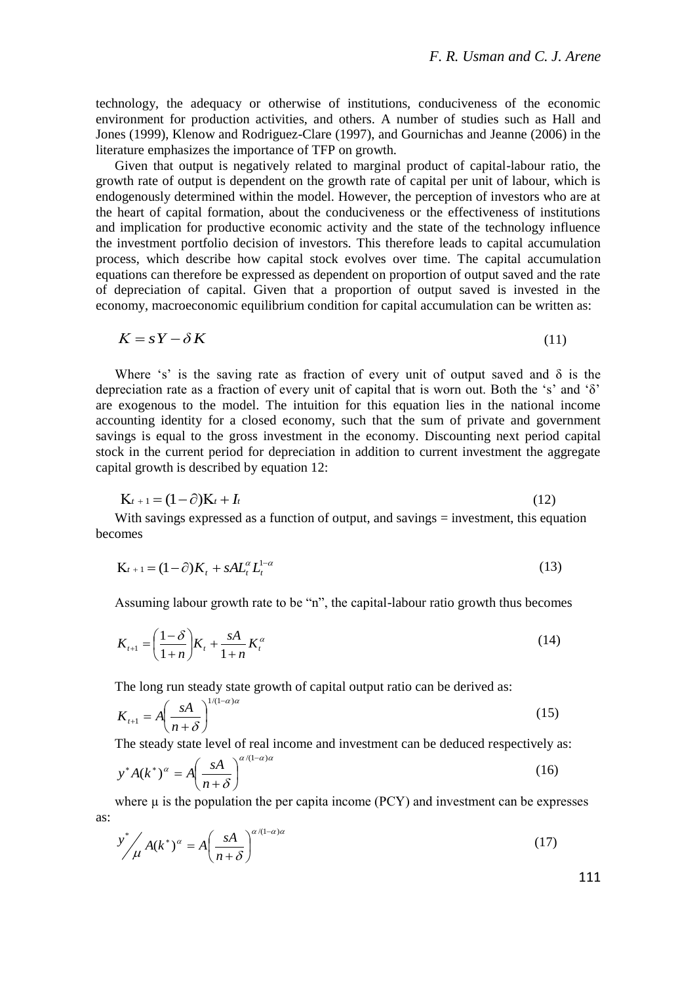technology, the adequacy or otherwise of institutions, conduciveness of the economic environment for production activities, and others. A number of studies such as Hall and Jones (1999), Klenow and Rodriguez-Clare (1997), and Gournichas and Jeanne (2006) in the literature emphasizes the importance of TFP on growth.

Given that output is negatively related to marginal product of capital-labour ratio, the growth rate of output is dependent on the growth rate of capital per unit of labour, which is endogenously determined within the model. However, the perception of investors who are at the heart of capital formation, about the conduciveness or the effectiveness of institutions and implication for productive economic activity and the state of the technology influence the investment portfolio decision of investors. This therefore leads to capital accumulation process, which describe how capital stock evolves over time. The capital accumulation equations can therefore be expressed as dependent on proportion of output saved and the rate of depreciation of capital. Given that a proportion of output saved is invested in the economy, macroeconomic equilibrium condition for capital accumulation can be written as:

$$
K = sY - \delta K \tag{11}
$$

Where 's' is the saving rate as fraction of every unit of output saved and  $\delta$  is the depreciation rate as a fraction of every unit of capital that is worn out. Both the 's' and 'δ' are exogenous to the model. The intuition for this equation lies in the national income accounting identity for a closed economy, such that the sum of private and government savings is equal to the gross investment in the economy. Discounting next period capital stock in the current period for depreciation in addition to current investment the aggregate capital growth is described by equation 12:

$$
K_{t+1} = (1 - \partial)K_t + I_t
$$
 (12)

With savings expressed as a function of output, and savings = investment, this equation becomes

$$
\mathbf{K}_{t+1} = (1 - \partial) \mathbf{K}_t + s \mathbf{A} \mathbf{L}_t^{\alpha} \mathbf{L}_t^{1-\alpha} \tag{13}
$$

Assuming labour growth rate to be "n", the capital-labour ratio growth thus becomes

$$
K_{t+1} = \left(\frac{1-\delta}{1+n}\right)K_t + \frac{sA}{1+n}K_t^{\alpha}
$$
 (14)

The long run steady state growth of capital output ratio can be derived as:

$$
K_{t+1} = A \left(\frac{sA}{n+\delta}\right)^{1/(1-\alpha)\alpha} \tag{15}
$$

The steady state level of real income and investment can be deduced respectively as:

$$
y^* A(k^*)^\alpha = A \left(\frac{sA}{n+\delta}\right)^{\alpha/(1-\alpha)\alpha} \tag{16}
$$

where  $\mu$  is the population the per capita income (PCY) and investment can be expresses as:

$$
y^* / \mu A(k^*)^{\alpha} = A \left(\frac{sA}{n+\delta}\right)^{\alpha/(1-\alpha)\alpha} \tag{17}
$$

111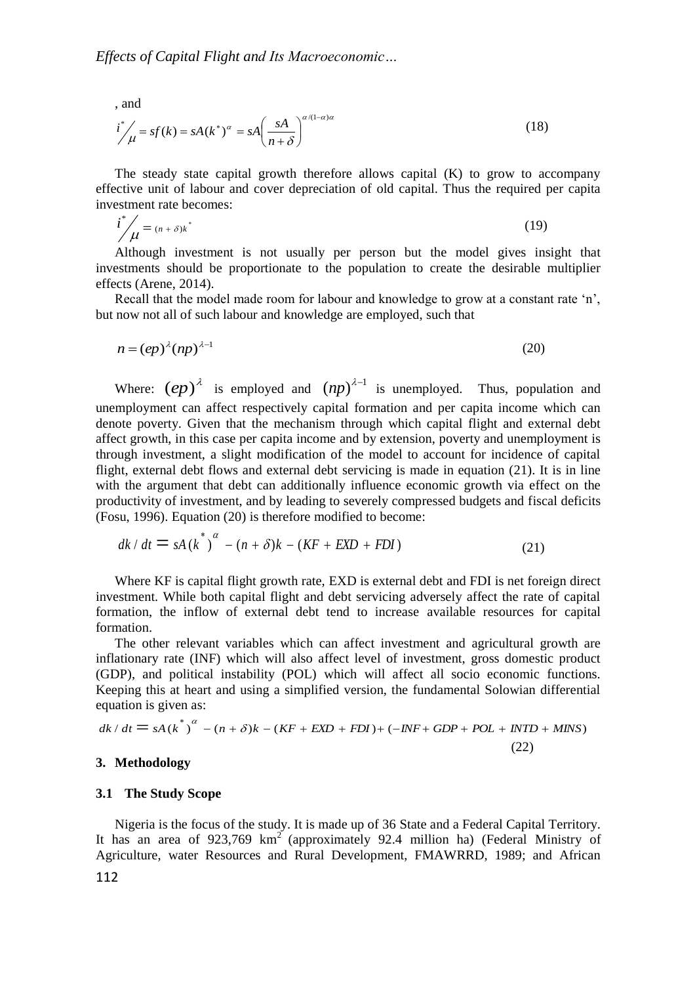, and

$$
i^{\ast} / \mu = sf(k) = sA(k^*)^{\alpha} = sA \left(\frac{sA}{n+\delta}\right)^{\alpha/(1-\alpha)\alpha}
$$
\n(18)

The steady state capital growth therefore allows capital (K) to grow to accompany effective unit of labour and cover depreciation of old capital. Thus the required per capita investment rate becomes:

$$
i^* / \mu = (n + \delta) k^* \tag{19}
$$

Although investment is not usually per person but the model gives insight that investments should be proportionate to the population to create the desirable multiplier effects (Arene, 2014).

Recall that the model made room for labour and knowledge to grow at a constant rate 'n', but now not all of such labour and knowledge are employed, such that

$$
n = (ep)^{\lambda} (np)^{\lambda - 1}
$$
 (20)

Where:  $(ep)^{\lambda}$  is employed and  $(np)^{\lambda-1}$  is unemployed. Thus, population and unemployment can affect respectively capital formation and per capita income which can denote poverty. Given that the mechanism through which capital flight and external debt affect growth, in this case per capita income and by extension, poverty and unemployment is through investment, a slight modification of the model to account for incidence of capital flight, external debt flows and external debt servicing is made in equation (21). It is in line with the argument that debt can additionally influence economic growth via effect on the productivity of investment, and by leading to severely compressed budgets and fiscal deficits (Fosu, 1996). Equation (20) is therefore modified to become:

$$
dk/dt = sA(k^*)^{\alpha} - (n+\delta)k - (KF + EXP + FDI)
$$
\n(21)

Where KF is capital flight growth rate, EXD is external debt and FDI is net foreign direct investment. While both capital flight and debt servicing adversely affect the rate of capital formation, the inflow of external debt tend to increase available resources for capital formation.

The other relevant variables which can affect investment and agricultural growth are inflationary rate (INF) which will also affect level of investment, gross domestic product (GDP), and political instability (POL) which will affect all socio economic functions. Keeping this at heart and using a simplified version, the fundamental Solowian differential equation is given as: *d k* / *dt* =  $sA(k^*)^{\alpha} - (n + \delta)k - (KF + EXP + FDI) + (-INF + GDP + POL + INTD + MINS)$ 

$$
dk/dt = sA(k^*)^{\alpha} - (n+\delta)k - (KF + EXP + FDI) + (-INF + GDP + POL + INTD + MINS)
$$
\n(22)

## **3. Methodology**

#### **3.1 The Study Scope**

Nigeria is the focus of the study. It is made up of 36 State and a Federal Capital Territory. It has an area of  $923,769$  km<sup>2</sup> (approximately 92.4 million ha) (Federal Ministry of Agriculture, water Resources and Rural Development, FMAWRRD, 1989; and African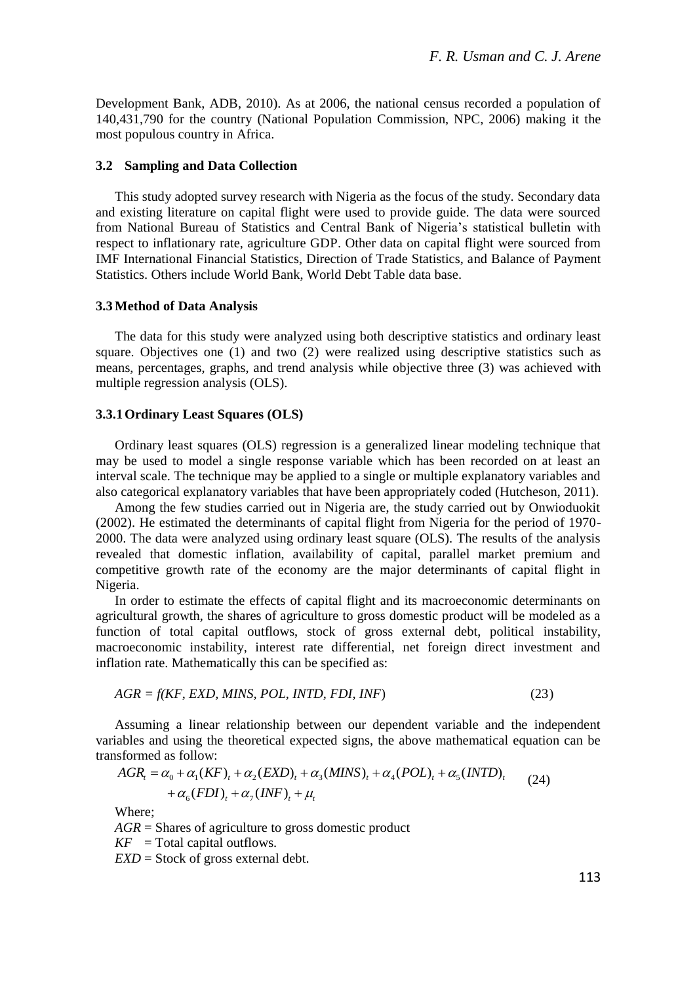Development Bank, ADB, 2010). As at 2006, the national census recorded a population of 140,431,790 for the country (National Population Commission, NPC, 2006) making it the most populous country in Africa.

#### **3.2 Sampling and Data Collection**

This study adopted survey research with Nigeria as the focus of the study. Secondary data and existing literature on capital flight were used to provide guide. The data were sourced from National Bureau of Statistics and Central Bank of Nigeria's statistical bulletin with respect to inflationary rate, agriculture GDP. Other data on capital flight were sourced from IMF International Financial Statistics, Direction of Trade Statistics, and Balance of Payment Statistics. Others include World Bank, World Debt Table data base.

#### **3.3 Method of Data Analysis**

The data for this study were analyzed using both descriptive statistics and ordinary least square. Objectives one (1) and two (2) were realized using descriptive statistics such as means, percentages, graphs, and trend analysis while objective three (3) was achieved with multiple regression analysis (OLS).

#### **3.3.1Ordinary Least Squares (OLS)**

Ordinary least squares (OLS) regression is a generalized linear modeling technique that may be used to model a single response variable which has been recorded on at least an interval scale. The technique may be applied to a single or multiple explanatory variables and also categorical explanatory variables that have been appropriately coded (Hutcheson, 2011).

Among the few studies carried out in Nigeria are, the study carried out by Onwioduokit (2002). He estimated the determinants of capital flight from Nigeria for the period of 1970- 2000. The data were analyzed using ordinary least square (OLS). The results of the analysis revealed that domestic inflation, availability of capital, parallel market premium and competitive growth rate of the economy are the major determinants of capital flight in Nigeria.

In order to estimate the effects of capital flight and its macroeconomic determinants on agricultural growth, the shares of agriculture to gross domestic product will be modeled as a function of total capital outflows, stock of gross external debt, political instability, macroeconomic instability, interest rate differential, net foreign direct investment and inflation rate. Mathematically this can be specified as:

$$
AGR = f(KF, EXP, MINS, POL, INTD, FDI, INF)
$$
\n
$$
(23)
$$

Assuming a linear relationship between our dependent variable and the independent variables and using the theoretical expected signs, the above mathematical equation can be transformed as follow: Assuming a linear relationship between our dependent variable and t<br>ables and using the theoretical expected signs, the above mathematical<br>sformed as follow:<br> $AGR_i = \alpha_0 + \alpha_1 (KF)_i + \alpha_2 (EXP)_i + \alpha_3 (MINS)_i + \alpha_4 (POL)_i + \alpha_5 (INTD)_i$ 

and using the theoretical expected signs, the above mathematical equation

\nas follows:

\n
$$
AGR_t = \alpha_0 + \alpha_1 (KF)_t + \alpha_2 (EXP)_t + \alpha_3 (MINS)_t + \alpha_4 (POL)_t + \alpha_5 (INTD)_t + \alpha_6 (FDI)_t + \alpha_7 (INF)_t + \mu_t
$$
\nWhen

Where;

*AGR* = Shares of agriculture to gross domestic product

 $KF = Total capital outflows.$ 

*EXD* = Stock of gross external debt.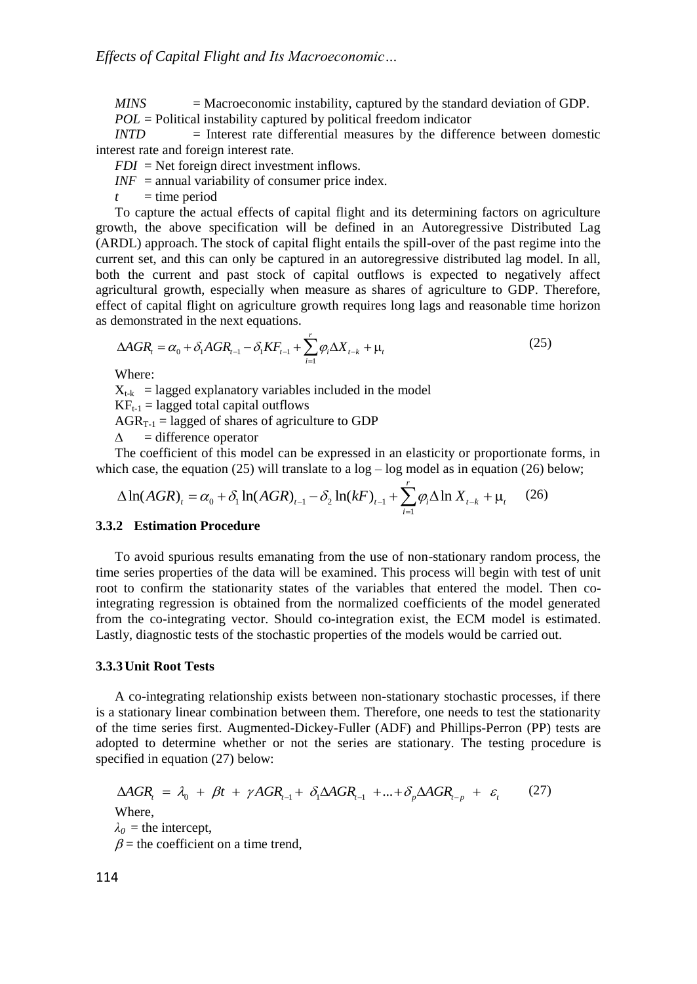$MINS$  = Macroeconomic instability, captured by the standard deviation of GDP. *POL* = Political instability captured by political freedom indicator

*INTD* = Interest rate differential measures by the difference between domestic interest rate and foreign interest rate.

*FDI* = Net foreign direct investment inflows.

 *= annual variability of consumer price index.* 

 $t =$  time period

To capture the actual effects of capital flight and its determining factors on agriculture growth, the above specification will be defined in an Autoregressive Distributed Lag (ARDL) approach. The stock of capital flight entails the spill-over of the past regime into the current set, and this can only be captured in an autoregressive distributed lag model. In all, both the current and past stock of capital outflows is expected to negatively affect agricultural growth, especially when measure as shares of agriculture to GDP. Therefore, effect of capital flight on agriculture growth requires long lags and reasonable time horizon

as demonstrated in the next equations.  
\n
$$
\Delta AGR_{t} = \alpha_{0} + \delta_{1}AGR_{t-1} - \delta_{1}KF_{t-1} + \sum_{i=1}^{r} \varphi_{i} \Delta X_{t-k} + \mu_{t}
$$
\n(25)

Where:

 $X_{t-k}$  = lagged explanatory variables included in the model

 $KF_{t-1} =$  lagged total capital outflows

 $AGR_{T-1}$  = lagged of shares of agriculture to GDP

 $\Delta$  = difference operator

The coefficient of this model can be expressed in an elasticity or proportionate forms, in ch case, the equation (25) will translate to a log – log model as in equation (26) below;<br>  $\Delta \ln(AGR)_t = \alpha_0 + \delta_1 \ln(AGR)_{t-1} - \delta_2 \ln(k$ which case, the equation  $(25)$  will translate to a  $log - log$  model as in equation  $(26)$  below;

The coefficient of this model can be expressed in an elasticity or proportionate  
ch case, the equation (25) will translate to a log – log model as in equation (26)  

$$
\Delta \ln(AGR)_t = \alpha_0 + \delta_1 \ln(AGR)_{t-1} - \delta_2 \ln(kF)_{t-1} + \sum_{i=1}^r \varphi_i \Delta \ln X_{t-k} + \mu_t
$$
 (26)

## **3.3.2 Estimation Procedure**

To avoid spurious results emanating from the use of non-stationary random process, the time series properties of the data will be examined. This process will begin with test of unit root to confirm the stationarity states of the variables that entered the model. Then cointegrating regression is obtained from the normalized coefficients of the model generated from the co-integrating vector. Should co-integration exist, the ECM model is estimated. Lastly, diagnostic tests of the stochastic properties of the models would be carried out.

#### **3.3.3Unit Root Tests**

A co-integrating relationship exists between non-stationary stochastic processes, if there is a stationary linear combination between them. Therefore, one needs to test the stationarity of the time series first. Augmented-Dickey-Fuller (ADF) and Phillips-Perron (PP) tests are adopted to determine whether or not the series are stationary. The testing procedure is specified in equation (27) below:<br>  $\triangle AGR_t = \lambda_0 + \beta t + \gamma AGR_{t-1} + \delta_1 \triangle AGR_{t-1} + ... + \delta_p \triangle AGR_{t-p} + \varepsilon_t$  (27) specified in equation (27) below:

$$
\Delta AGR_i = \lambda_0 + \beta t + \gamma AGR_{i-1} + \delta_i \Delta AGR_{i-1} + \dots + \delta_p \Delta AGR_{i-p} + \varepsilon_i
$$
 (27)  
Where,  
 $\lambda_0$  = the intercept,  
 $\beta$  = the coefficient on a time trend,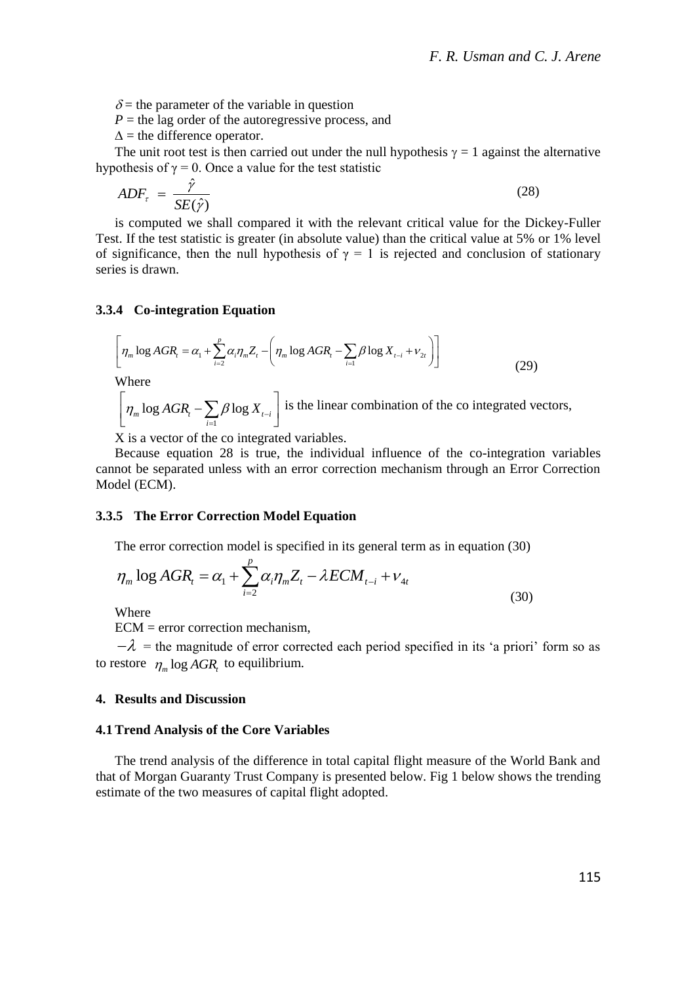$\delta$  = the parameter of the variable in question

 $P =$  the lag order of the autoregressive process, and

 $\Delta$  = the difference operator.

The unit root test is then carried out under the null hypothesis  $\gamma = 1$  against the alternative hypothesis of  $\gamma = 0$ . Once a value for the test statistic

$$
ADF_{\tau} = \frac{\hat{\gamma}}{SE(\hat{\gamma})}
$$
 (28)

is computed we shall compared it with the relevant critical value for the Dickey-Fuller Test. If the test statistic is greater (in absolute value) than the critical value at 5% or 1% level of significance, then the null hypothesis of  $\gamma = 1$  is rejected and conclusion of stationary series is drawn.

### **3.3.4 Co-integration Equation**

4 Co-integration Equation  
\n
$$
\left[\eta_m \log AGR_i = \alpha_1 + \sum_{i=2}^{p} \alpha_i \eta_m Z_i - \left(\eta_m \log AGR_i - \sum_{i=1}^{p} \beta \log X_{t-i} + v_{2t}\right)\right]
$$
\n(29)

Where

where  
\n
$$
\left[\eta_m \log AGR_t - \sum_{i=1} B \log X_{t-i}\right]
$$
 is the linear combination of the co integrated vectors,

X is a vector of the co integrated variables.

Because equation 28 is true, the individual influence of the co-integration variables cannot be separated unless with an error correction mechanism through an Error Correction Model (ECM).

## **3.3.5 The Error Correction Model Equation**

The error correction model is specified in its general term as in equation (30)  
\n
$$
\eta_m \log AGR_t = \alpha_1 + \sum_{i=2}^{p} \alpha_i \eta_m Z_t - \lambda ECM_{t-i} + V_{4t}
$$
\n(30)

Where

ECM = error correction mechanism,

 $-\lambda$  = the magnitude of error corrected each period specified in its 'a priori' form so as to restore  $\eta_m \log AGR_t$  to equilibrium.

#### **4. Results and Discussion**

#### **4.1Trend Analysis of the Core Variables**

The trend analysis of the difference in total capital flight measure of the World Bank and that of Morgan Guaranty Trust Company is presented below. Fig 1 below shows the trending estimate of the two measures of capital flight adopted.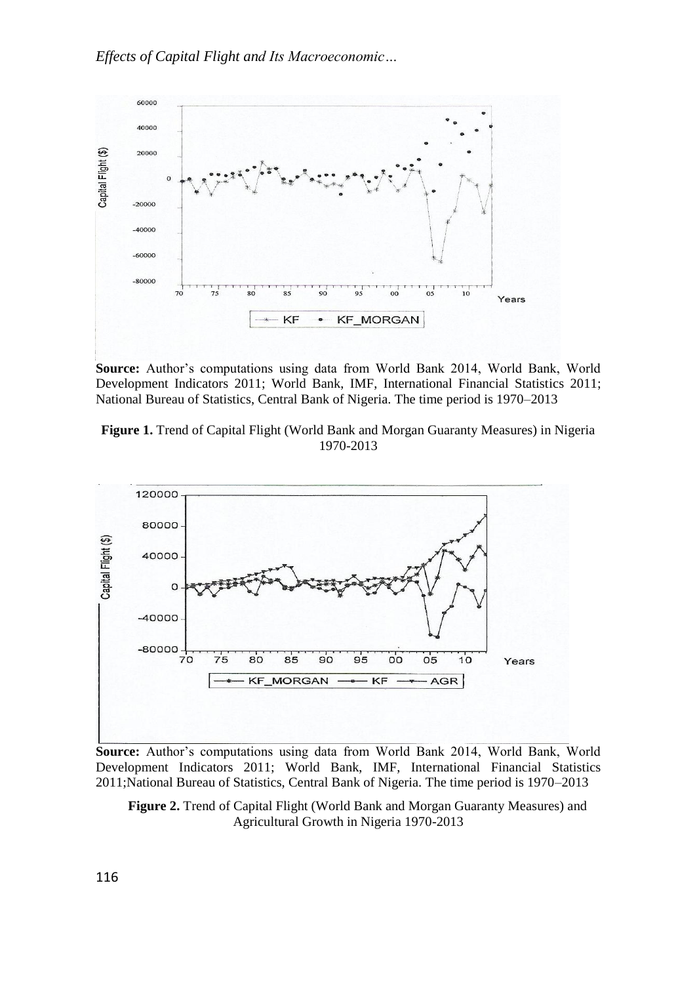

**Source:** Author's computations using data from World Bank 2014, World Bank, World Development Indicators 2011; World Bank, IMF, International Financial Statistics 2011; National Bureau of Statistics, Central Bank of Nigeria. The time period is 1970–2013





**Source:** Author's computations using data from World Bank 2014, World Bank, World Development Indicators 2011; World Bank, IMF, International Financial Statistics 2011;National Bureau of Statistics, Central Bank of Nigeria. The time period is 1970–2013

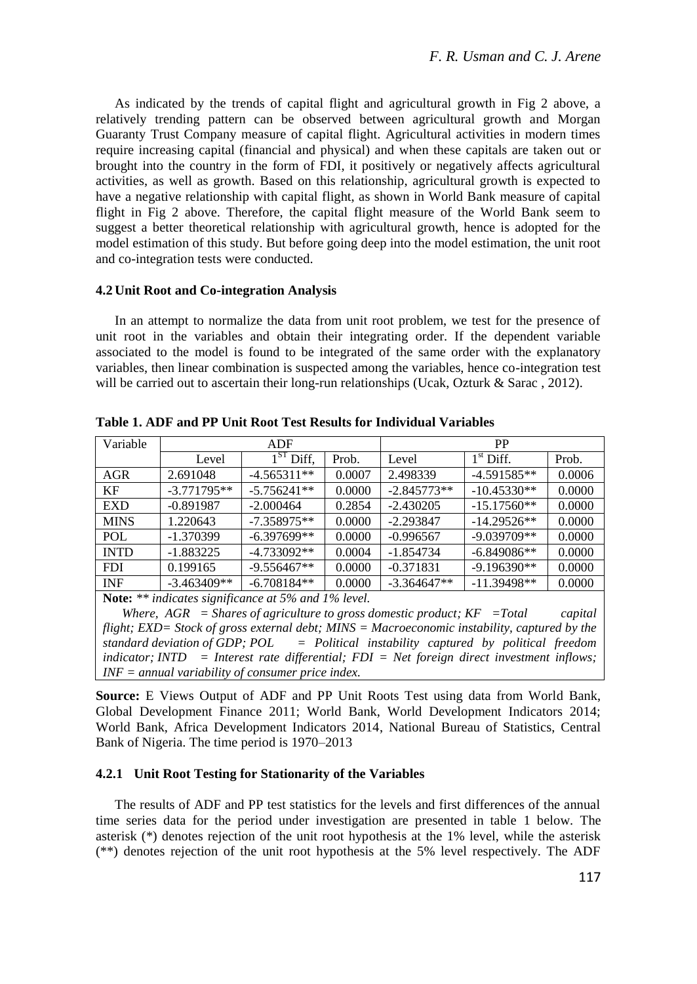As indicated by the trends of capital flight and agricultural growth in Fig 2 above, a relatively trending pattern can be observed between agricultural growth and Morgan Guaranty Trust Company measure of capital flight. Agricultural activities in modern times require increasing capital (financial and physical) and when these capitals are taken out or brought into the country in the form of FDI, it positively or negatively affects agricultural activities, as well as growth. Based on this relationship, agricultural growth is expected to have a negative relationship with capital flight, as shown in World Bank measure of capital flight in Fig 2 above. Therefore, the capital flight measure of the World Bank seem to suggest a better theoretical relationship with agricultural growth, hence is adopted for the model estimation of this study. But before going deep into the model estimation, the unit root and co-integration tests were conducted.

#### **4.2 Unit Root and Co-integration Analysis**

In an attempt to normalize the data from unit root problem, we test for the presence of unit root in the variables and obtain their integrating order. If the dependent variable associated to the model is found to be integrated of the same order with the explanatory variables, then linear combination is suspected among the variables, hence co-integration test will be carried out to ascertain their long-run relationships (Ucak, Ozturk & Sarac, 2012).

| Variable                                                   | ADF           |               |        | <b>PP</b>     |               |        |
|------------------------------------------------------------|---------------|---------------|--------|---------------|---------------|--------|
|                                                            | Level         | ST.<br>Diff,  | Prob.  | Level         | $1st$ Diff.   | Prob.  |
| AGR                                                        | 2.691048      | $-4.565311**$ | 0.0007 | 2.498339      | $-4.591585**$ | 0.0006 |
| KF                                                         | $-3.771795**$ | $-5.756241**$ | 0.0000 | $-2.845773**$ | $-10.45330**$ | 0.0000 |
| <b>EXD</b>                                                 | $-0.891987$   | $-2.000464$   | 0.2854 | $-2.430205$   | $-15.17560**$ | 0.0000 |
| <b>MINS</b>                                                | 1.220643      | $-7.358975**$ | 0.0000 | $-2.293847$   | $-14.29526**$ | 0.0000 |
| POL                                                        | $-1.370399$   | $-6.397699**$ | 0.0000 | $-0.996567$   | $-9.039709**$ | 0.0000 |
| <b>INTD</b>                                                | $-1.883225$   | $-4.733092**$ | 0.0004 | $-1.854734$   | $-6.849086**$ | 0.0000 |
| <b>FDI</b>                                                 | 0.199165      | $-9.556467**$ | 0.0000 | $-0.371831$   | $-9.196390**$ | 0.0000 |
| <b>INF</b>                                                 | $-3.463409**$ | $-6.708184**$ | 0.0000 | $-3.364647**$ | $-11.39498**$ | 0.0000 |
| <b>Note:</b> ** indicates significance at 5% and 1% level. |               |               |        |               |               |        |

**Table 1. ADF and PP Unit Root Test Results for Individual Variables**

*Where, AGR = Shares of agriculture to gross domestic product; KF =Total capital flight; EXD= Stock of gross external debt; MINS = Macroeconomic instability, captured by the standard deviation of GDP; POL = Political instability captured by political freedom indicator; INTD = Interest rate differential; FDI = Net foreign direct investment inflows; INF = annual variability of consumer price index.*

**Source:** E Views Output of ADF and PP Unit Roots Test using data from World Bank, Global Development Finance 2011; World Bank, World Development Indicators 2014; World Bank, Africa Development Indicators 2014, National Bureau of Statistics, Central Bank of Nigeria. The time period is 1970–2013

## **4.2.1 Unit Root Testing for Stationarity of the Variables**

The results of ADF and PP test statistics for the levels and first differences of the annual time series data for the period under investigation are presented in table 1 below. The asterisk (\*) denotes rejection of the unit root hypothesis at the 1% level, while the asterisk (\*\*) denotes rejection of the unit root hypothesis at the 5% level respectively. The ADF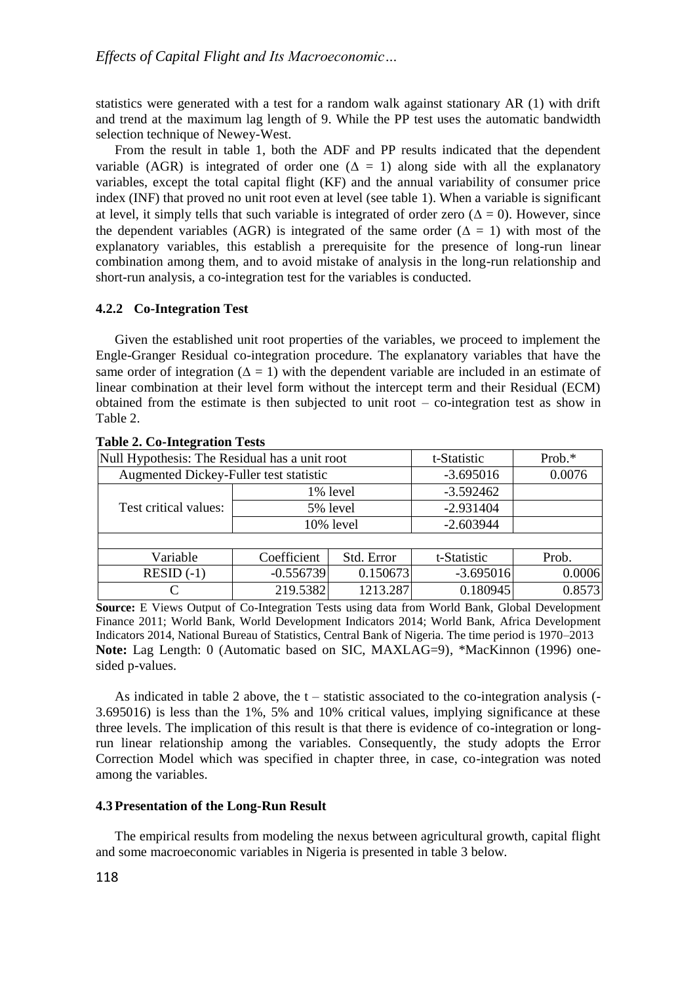statistics were generated with a test for a random walk against stationary AR (1) with drift and trend at the maximum lag length of 9. While the PP test uses the automatic bandwidth selection technique of Newey-West.

From the result in table 1, both the ADF and PP results indicated that the dependent variable (AGR) is integrated of order one ( $\Delta = 1$ ) along side with all the explanatory variables, except the total capital flight (KF) and the annual variability of consumer price index (INF) that proved no unit root even at level (see table 1). When a variable is significant at level, it simply tells that such variable is integrated of order zero ( $\Delta = 0$ ). However, since the dependent variables (AGR) is integrated of the same order ( $\Delta = 1$ ) with most of the explanatory variables, this establish a prerequisite for the presence of long-run linear combination among them, and to avoid mistake of analysis in the long-run relationship and short-run analysis, a co-integration test for the variables is conducted.

## **4.2.2 Co-Integration Test**

Given the established unit root properties of the variables, we proceed to implement the Engle-Granger Residual co-integration procedure. The explanatory variables that have the same order of integration  $(\Delta = 1)$  with the dependent variable are included in an estimate of linear combination at their level form without the intercept term and their Residual (ECM) obtained from the estimate is then subjected to unit root – co-integration test as show in Table 2.

| Null Hypothesis: The Residual has a unit root |            |             |                                        |  |  |  |  |
|-----------------------------------------------|------------|-------------|----------------------------------------|--|--|--|--|
| Augmented Dickey-Fuller test statistic        |            |             | 0.0076                                 |  |  |  |  |
| 1% level                                      |            | $-3.592462$ |                                        |  |  |  |  |
| 5% level                                      |            | $-2.931404$ |                                        |  |  |  |  |
| 10% level                                     |            | $-2.603944$ |                                        |  |  |  |  |
|                                               |            |             |                                        |  |  |  |  |
| Coefficient                                   | Std. Error | t-Statistic | Prob.                                  |  |  |  |  |
|                                               |            | $-3.695016$ | 0.0006                                 |  |  |  |  |
| 219.5382                                      | 1213.287   | 0.180945    | 0.8573                                 |  |  |  |  |
|                                               |            | $-0.556739$ | t-Statistic<br>$-3.695016$<br>0.150673 |  |  |  |  |

### **Table 2. Co-Integration Tests**

**Source:** E Views Output of Co-Integration Tests using data from World Bank, Global Development Finance 2011; World Bank, World Development Indicators 2014; World Bank, Africa Development Indicators 2014, National Bureau of Statistics, Central Bank of Nigeria. The time period is 1970–2013 **Note:** Lag Length: 0 (Automatic based on SIC, MAXLAG=9), \*MacKinnon (1996) onesided p-values.

As indicated in table 2 above, the  $t -$  statistic associated to the co-integration analysis  $(-$ 3.695016) is less than the 1%, 5% and 10% critical values, implying significance at these three levels. The implication of this result is that there is evidence of co-integration or longrun linear relationship among the variables. Consequently, the study adopts the Error Correction Model which was specified in chapter three, in case, co-integration was noted among the variables.

#### **4.3 Presentation of the Long-Run Result**

The empirical results from modeling the nexus between agricultural growth, capital flight and some macroeconomic variables in Nigeria is presented in table 3 below.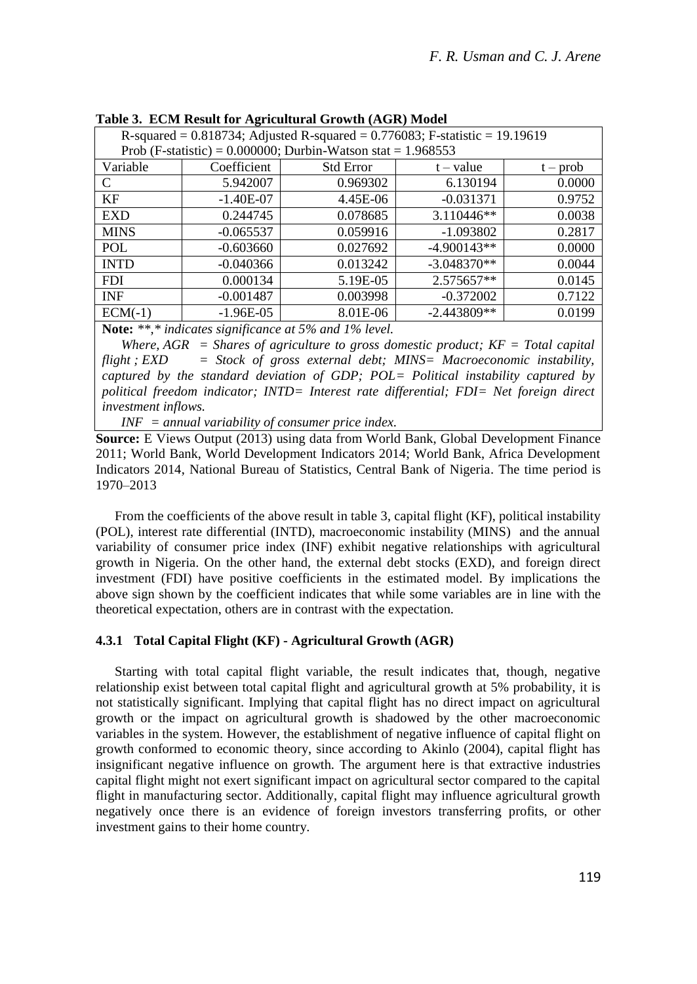|                                                                                   |             | $\frac{1}{2}$    |               |            |  |  |
|-----------------------------------------------------------------------------------|-------------|------------------|---------------|------------|--|--|
| R-squared = $0.818734$ ; Adjusted R-squared = $0.776083$ ; F-statistic = 19.19619 |             |                  |               |            |  |  |
| Prob (F-statistic) = $0.000000$ ; Durbin-Watson stat = $1.968553$                 |             |                  |               |            |  |  |
| Variable                                                                          | Coefficient | <b>Std Error</b> | $t - value$   | $t - prob$ |  |  |
| C                                                                                 | 5.942007    | 0.969302         | 6.130194      | 0.0000     |  |  |
| KF                                                                                | $-1.40E-07$ | 4.45E-06         | $-0.031371$   | 0.9752     |  |  |
| <b>EXD</b>                                                                        | 0.244745    | 0.078685         | $3.110446**$  | 0.0038     |  |  |
| <b>MINS</b>                                                                       | $-0.065537$ | 0.059916         | $-1.093802$   | 0.2817     |  |  |
| <b>POL</b>                                                                        | $-0.603660$ | 0.027692         | $-4.900143**$ | 0.0000     |  |  |
| <b>INTD</b>                                                                       | $-0.040366$ | 0.013242         | $-3.048370**$ | 0.0044     |  |  |
| <b>FDI</b>                                                                        | 0.000134    | 5.19E-05         | 2.575657**    | 0.0145     |  |  |
| <b>INF</b>                                                                        | $-0.001487$ | 0.003998         | $-0.372002$   | 0.7122     |  |  |
| $ECM(-1)$                                                                         | $-1.96E-05$ | 8.01E-06         | $-2.443809**$ | 0.0199     |  |  |
| Note: ** * indicates significance at 5% and 1% level                              |             |                  |               |            |  |  |

**Table 3. ECM Result for Agricultural Growth (AGR) Model**

**Note:** *\*\*,\* indicates significance at 5% and 1% level.*

*Where, AGR = Shares of agriculture to gross domestic product; KF = Total capital flight ; EXD = Stock of gross external debt; MINS= Macroeconomic instability, captured by the standard deviation of GDP; POL= Political instability captured by political freedom indicator; INTD= Interest rate differential; FDI= Net foreign direct investment inflows.*

*INF = annual variability of consumer price index.*

**Source:** E Views Output (2013) using data from World Bank, Global Development Finance 2011; World Bank, World Development Indicators 2014; World Bank, Africa Development Indicators 2014, National Bureau of Statistics, Central Bank of Nigeria. The time period is 1970–2013

From the coefficients of the above result in table 3, capital flight (KF), political instability (POL), interest rate differential (INTD), macroeconomic instability (MINS) and the annual variability of consumer price index (INF) exhibit negative relationships with agricultural growth in Nigeria. On the other hand, the external debt stocks (EXD), and foreign direct investment (FDI) have positive coefficients in the estimated model. By implications the above sign shown by the coefficient indicates that while some variables are in line with the theoretical expectation, others are in contrast with the expectation.

## **4.3.1 Total Capital Flight (KF) - Agricultural Growth (AGR)**

Starting with total capital flight variable, the result indicates that, though, negative relationship exist between total capital flight and agricultural growth at 5% probability, it is not statistically significant. Implying that capital flight has no direct impact on agricultural growth or the impact on agricultural growth is shadowed by the other macroeconomic variables in the system. However, the establishment of negative influence of capital flight on growth conformed to economic theory, since according to Akinlo (2004), capital flight has insignificant negative influence on growth. The argument here is that extractive industries capital flight might not exert significant impact on agricultural sector compared to the capital flight in manufacturing sector. Additionally, capital flight may influence agricultural growth negatively once there is an evidence of foreign investors transferring profits, or other investment gains to their home country.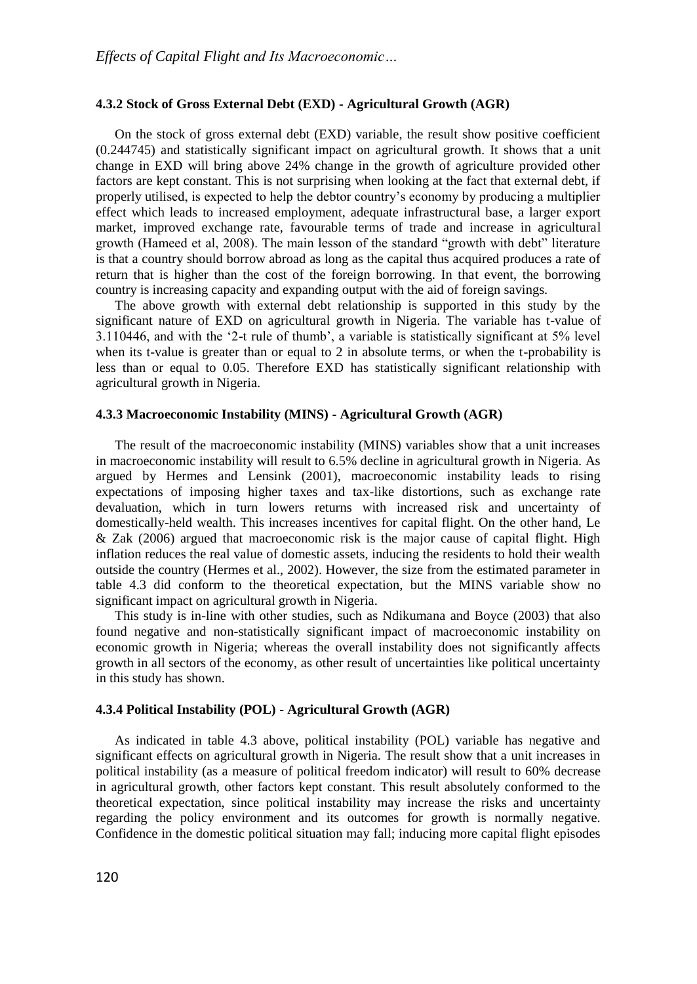#### **4.3.2 Stock of Gross External Debt (EXD) - Agricultural Growth (AGR)**

On the stock of gross external debt (EXD) variable, the result show positive coefficient (0.244745) and statistically significant impact on agricultural growth. It shows that a unit change in EXD will bring above 24% change in the growth of agriculture provided other factors are kept constant. This is not surprising when looking at the fact that external debt, if properly utilised, is expected to help the debtor country's economy by producing a multiplier effect which leads to increased employment, adequate infrastructural base, a larger export market, improved exchange rate, favourable terms of trade and increase in agricultural growth (Hameed et al, 2008). The main lesson of the standard "growth with debt" literature is that a country should borrow abroad as long as the capital thus acquired produces a rate of return that is higher than the cost of the foreign borrowing. In that event, the borrowing country is increasing capacity and expanding output with the aid of foreign savings.

The above growth with external debt relationship is supported in this study by the significant nature of EXD on agricultural growth in Nigeria. The variable has t-value of 3.110446, and with the '2-t rule of thumb', a variable is statistically significant at 5% level when its t-value is greater than or equal to 2 in absolute terms, or when the t-probability is less than or equal to 0.05. Therefore EXD has statistically significant relationship with agricultural growth in Nigeria.

#### **4.3.3 Macroeconomic Instability (MINS) - Agricultural Growth (AGR)**

The result of the macroeconomic instability (MINS) variables show that a unit increases in macroeconomic instability will result to 6.5% decline in agricultural growth in Nigeria. As argued by Hermes and Lensink (2001), macroeconomic instability leads to rising expectations of imposing higher taxes and tax-like distortions, such as exchange rate devaluation, which in turn lowers returns with increased risk and uncertainty of domestically-held wealth. This increases incentives for capital flight. On the other hand, Le & Zak (2006) argued that macroeconomic risk is the major cause of capital flight. High inflation reduces the real value of domestic assets, inducing the residents to hold their wealth outside the country (Hermes et al., 2002). However, the size from the estimated parameter in table 4.3 did conform to the theoretical expectation, but the MINS variable show no significant impact on agricultural growth in Nigeria.

This study is in-line with other studies, such as Ndikumana and Boyce (2003) that also found negative and non-statistically significant impact of macroeconomic instability on economic growth in Nigeria; whereas the overall instability does not significantly affects growth in all sectors of the economy, as other result of uncertainties like political uncertainty in this study has shown.

## **4.3.4 Political Instability (POL) - Agricultural Growth (AGR)**

As indicated in table 4.3 above, political instability (POL) variable has negative and significant effects on agricultural growth in Nigeria. The result show that a unit increases in political instability (as a measure of political freedom indicator) will result to 60% decrease in agricultural growth, other factors kept constant. This result absolutely conformed to the theoretical expectation, since political instability may increase the risks and uncertainty regarding the policy environment and its outcomes for growth is normally negative. Confidence in the domestic political situation may fall; inducing more capital flight episodes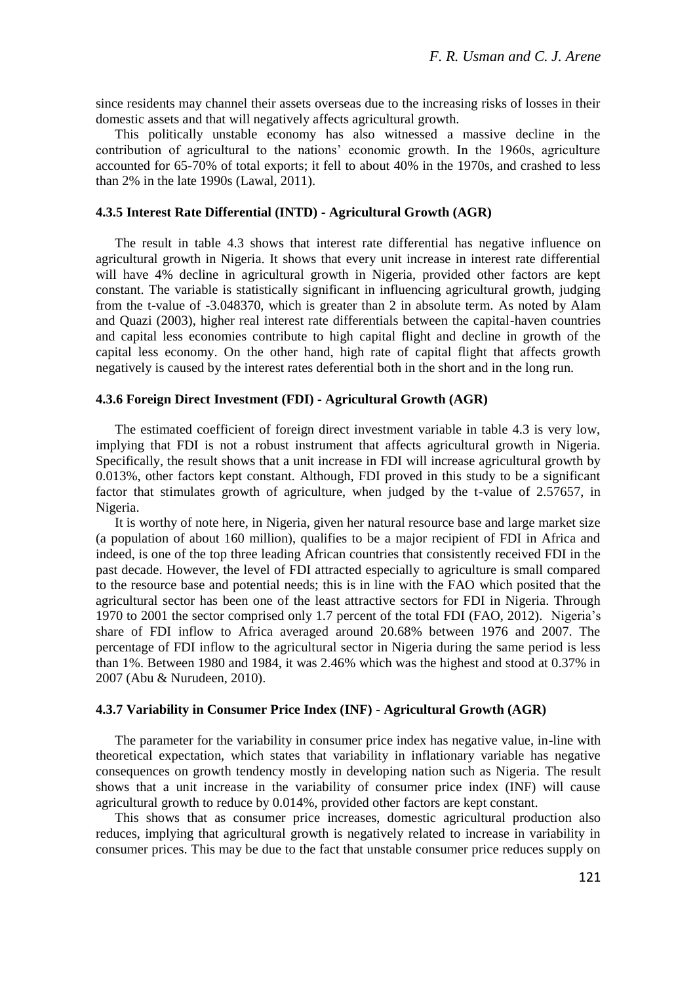since residents may channel their assets overseas due to the increasing risks of losses in their domestic assets and that will negatively affects agricultural growth.

This politically unstable economy has also witnessed a massive decline in the contribution of agricultural to the nations' economic growth. In the 1960s, agriculture accounted for 65-70% of total exports; it fell to about 40% in the 1970s, and crashed to less than 2% in the late 1990s (Lawal, 2011).

#### **4.3.5 Interest Rate Differential (INTD) - Agricultural Growth (AGR)**

The result in table 4.3 shows that interest rate differential has negative influence on agricultural growth in Nigeria. It shows that every unit increase in interest rate differential will have 4% decline in agricultural growth in Nigeria, provided other factors are kept constant. The variable is statistically significant in influencing agricultural growth, judging from the t-value of -3.048370, which is greater than 2 in absolute term. As noted by Alam and Quazi (2003), higher real interest rate differentials between the capital-haven countries and capital less economies contribute to high capital flight and decline in growth of the capital less economy. On the other hand, high rate of capital flight that affects growth negatively is caused by the interest rates deferential both in the short and in the long run.

#### **4.3.6 Foreign Direct Investment (FDI) - Agricultural Growth (AGR)**

The estimated coefficient of foreign direct investment variable in table 4.3 is very low, implying that FDI is not a robust instrument that affects agricultural growth in Nigeria. Specifically, the result shows that a unit increase in FDI will increase agricultural growth by 0.013%, other factors kept constant. Although, FDI proved in this study to be a significant factor that stimulates growth of agriculture, when judged by the t-value of 2.57657, in Nigeria.

It is worthy of note here, in Nigeria, given her natural resource base and large market size (a population of about 160 million), qualifies to be a major recipient of FDI in Africa and indeed, is one of the top three leading African countries that consistently received FDI in the past decade. However, the level of FDI attracted especially to agriculture is small compared to the resource base and potential needs; this is in line with the FAO which posited that the agricultural sector has been one of the least attractive sectors for FDI in Nigeria. Through 1970 to 2001 the sector comprised only 1.7 percent of the total FDI (FAO, 2012). Nigeria's share of FDI inflow to Africa averaged around 20.68% between 1976 and 2007. The percentage of FDI inflow to the agricultural sector in Nigeria during the same period is less than 1%. Between 1980 and 1984, it was 2.46% which was the highest and stood at 0.37% in 2007 (Abu & Nurudeen, 2010).

#### **4.3.7 Variability in Consumer Price Index (INF) - Agricultural Growth (AGR)**

The parameter for the variability in consumer price index has negative value, in-line with theoretical expectation, which states that variability in inflationary variable has negative consequences on growth tendency mostly in developing nation such as Nigeria. The result shows that a unit increase in the variability of consumer price index (INF) will cause agricultural growth to reduce by 0.014%, provided other factors are kept constant.

This shows that as consumer price increases, domestic agricultural production also reduces, implying that agricultural growth is negatively related to increase in variability in consumer prices. This may be due to the fact that unstable consumer price reduces supply on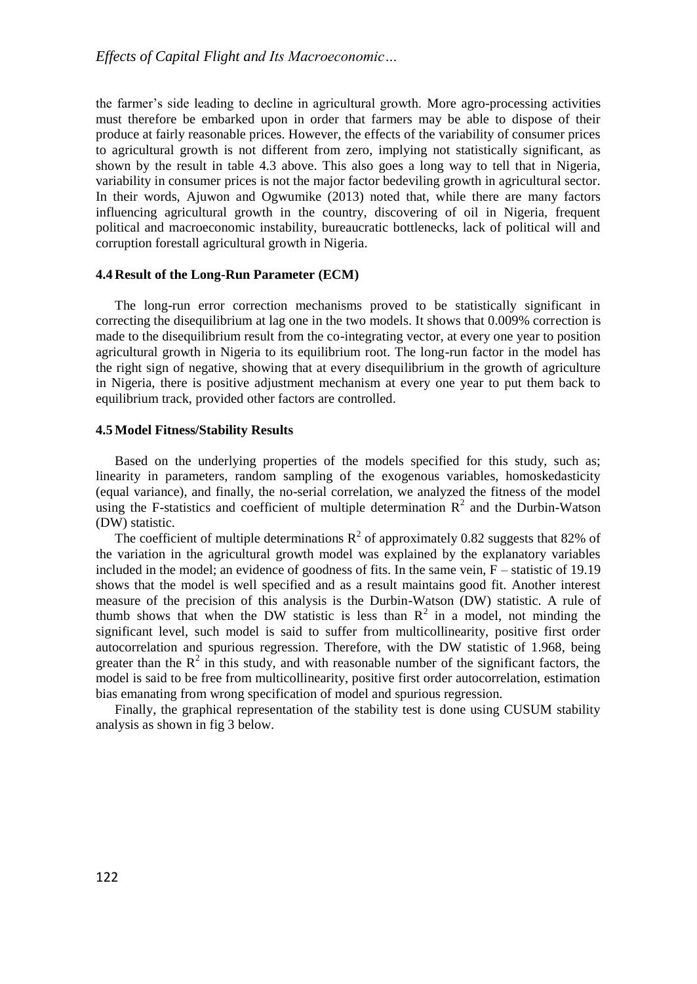the farmer's side leading to decline in agricultural growth. More agro-processing activities must therefore be embarked upon in order that farmers may be able to dispose of their produce at fairly reasonable prices. However, the effects of the variability of consumer prices to agricultural growth is not different from zero, implying not statistically significant, as shown by the result in table 4.3 above. This also goes a long way to tell that in Nigeria, variability in consumer prices is not the major factor bedeviling growth in agricultural sector. In their words, Ajuwon and Ogwumike (2013) noted that, while there are many factors influencing agricultural growth in the country, discovering of oil in Nigeria, frequent political and macroeconomic instability, bureaucratic bottlenecks, lack of political will and corruption forestall agricultural growth in Nigeria.

#### **4.4 Result of the Long-Run Parameter (ECM)**

The long-run error correction mechanisms proved to be statistically significant in correcting the disequilibrium at lag one in the two models. It shows that 0.009% correction is made to the disequilibrium result from the co-integrating vector, at every one year to position agricultural growth in Nigeria to its equilibrium root. The long-run factor in the model has the right sign of negative, showing that at every disequilibrium in the growth of agriculture in Nigeria, there is positive adjustment mechanism at every one year to put them back to equilibrium track, provided other factors are controlled.

#### **4.5 Model Fitness/Stability Results**

Based on the underlying properties of the models specified for this study, such as; linearity in parameters, random sampling of the exogenous variables, homoskedasticity (equal variance), and finally, the no-serial correlation, we analyzed the fitness of the model using the F-statistics and coefficient of multiple determination  $R^2$  and the Durbin-Watson (DW) statistic.

The coefficient of multiple determinations  $R^2$  of approximately 0.82 suggests that 82% of the variation in the agricultural growth model was explained by the explanatory variables included in the model; an evidence of goodness of fits. In the same vein, F – statistic of 19.19 shows that the model is well specified and as a result maintains good fit. Another interest measure of the precision of this analysis is the Durbin-Watson (DW) statistic. A rule of thumb shows that when the DW statistic is less than  $R^2$  in a model, not minding the significant level, such model is said to suffer from multicollinearity, positive first order autocorrelation and spurious regression. Therefore, with the DW statistic of 1.968, being greater than the  $R^2$  in this study, and with reasonable number of the significant factors, the model is said to be free from multicollinearity, positive first order autocorrelation, estimation bias emanating from wrong specification of model and spurious regression.

Finally, the graphical representation of the stability test is done using CUSUM stability analysis as shown in fig 3 below.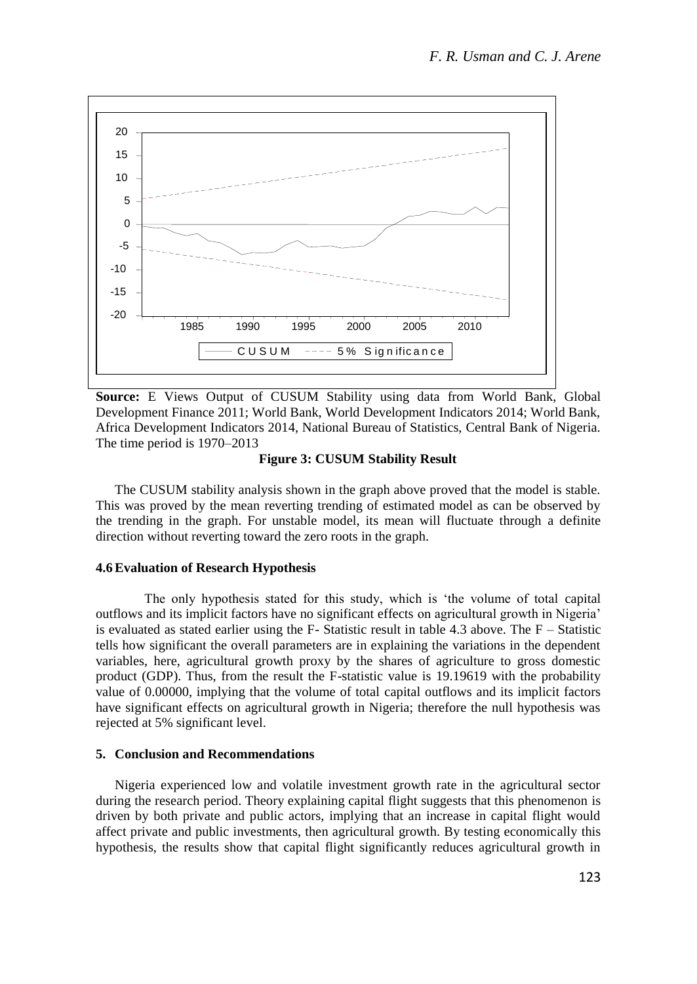

**Source:** E Views Output of CUSUM Stability using data from World Bank, Global Development Finance 2011; World Bank, World Development Indicators 2014; World Bank, Africa Development Indicators 2014, National Bureau of Statistics, Central Bank of Nigeria. The time period is 1970–2013

### **Figure 3: CUSUM Stability Result**

The CUSUM stability analysis shown in the graph above proved that the model is stable. This was proved by the mean reverting trending of estimated model as can be observed by the trending in the graph. For unstable model, its mean will fluctuate through a definite direction without reverting toward the zero roots in the graph.

### **4.6Evaluation of Research Hypothesis**

The only hypothesis stated for this study, which is 'the volume of total capital outflows and its implicit factors have no significant effects on agricultural growth in Nigeria' is evaluated as stated earlier using the  $F-$  Statistic result in table 4.3 above. The  $F-$  Statistic tells how significant the overall parameters are in explaining the variations in the dependent variables, here, agricultural growth proxy by the shares of agriculture to gross domestic product (GDP). Thus, from the result the F-statistic value is 19.19619 with the probability value of 0.00000, implying that the volume of total capital outflows and its implicit factors have significant effects on agricultural growth in Nigeria; therefore the null hypothesis was rejected at 5% significant level.

#### **5. Conclusion and Recommendations**

Nigeria experienced low and volatile investment growth rate in the agricultural sector during the research period. Theory explaining capital flight suggests that this phenomenon is driven by both private and public actors, implying that an increase in capital flight would affect private and public investments, then agricultural growth. By testing economically this hypothesis, the results show that capital flight significantly reduces agricultural growth in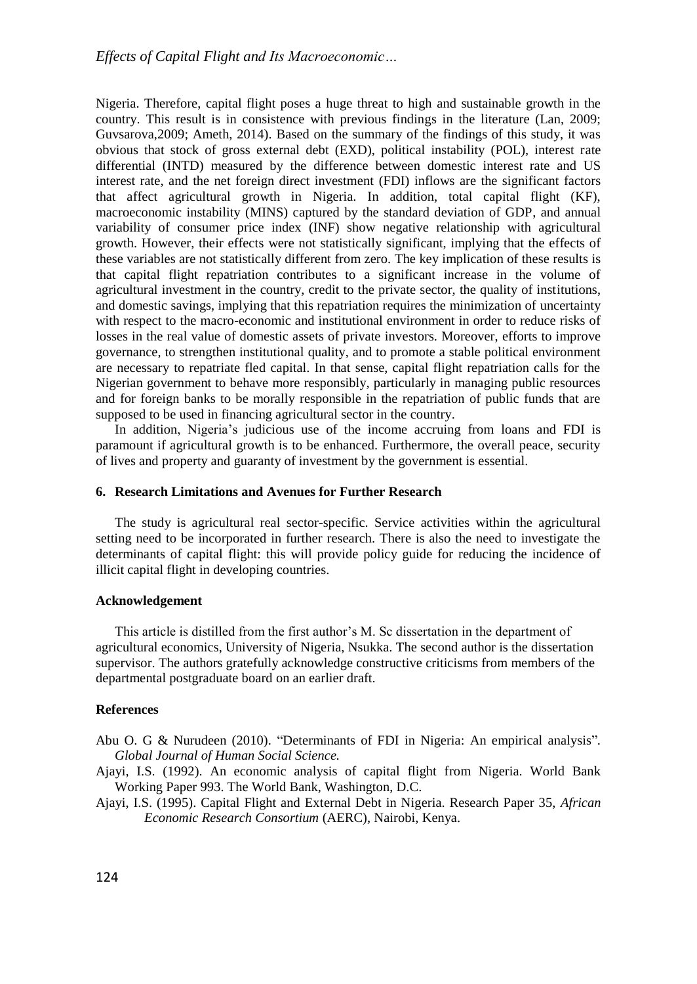Nigeria. Therefore, capital flight poses a huge threat to high and sustainable growth in the country. This result is in consistence with previous findings in the literature (Lan, 2009; Guvsarova,2009; Ameth, 2014). Based on the summary of the findings of this study, it was obvious that stock of gross external debt (EXD), political instability (POL), interest rate differential (INTD) measured by the difference between domestic interest rate and US interest rate, and the net foreign direct investment (FDI) inflows are the significant factors that affect agricultural growth in Nigeria. In addition, total capital flight (KF), macroeconomic instability (MINS) captured by the standard deviation of GDP, and annual variability of consumer price index (INF) show negative relationship with agricultural growth. However, their effects were not statistically significant, implying that the effects of these variables are not statistically different from zero. The key implication of these results is that capital flight repatriation contributes to a significant increase in the volume of agricultural investment in the country, credit to the private sector, the quality of institutions, and domestic savings, implying that this repatriation requires the minimization of uncertainty with respect to the macro-economic and institutional environment in order to reduce risks of losses in the real value of domestic assets of private investors. Moreover, efforts to improve governance, to strengthen institutional quality, and to promote a stable political environment are necessary to repatriate fled capital. In that sense, capital flight repatriation calls for the Nigerian government to behave more responsibly, particularly in managing public resources and for foreign banks to be morally responsible in the repatriation of public funds that are supposed to be used in financing agricultural sector in the country.

In addition, Nigeria's judicious use of the income accruing from loans and FDI is paramount if agricultural growth is to be enhanced. Furthermore, the overall peace, security of lives and property and guaranty of investment by the government is essential.

### **6. Research Limitations and Avenues for Further Research**

The study is agricultural real sector-specific. Service activities within the agricultural setting need to be incorporated in further research. There is also the need to investigate the determinants of capital flight: this will provide policy guide for reducing the incidence of illicit capital flight in developing countries.

### **Acknowledgement**

This article is distilled from the first author's M. Sc dissertation in the department of agricultural economics, University of Nigeria, Nsukka. The second author is the dissertation supervisor. The authors gratefully acknowledge constructive criticisms from members of the departmental postgraduate board on an earlier draft.

## **References**

- Abu O. G & Nurudeen (2010). "Determinants of FDI in Nigeria: An empirical analysis"*. Global Journal of Human Social Science.*
- Ajayi, I.S. (1992). An economic analysis of capital flight from Nigeria. World Bank Working Paper 993. The World Bank, Washington, D.C.
- Ajayi, I.S. (1995). Capital Flight and External Debt in Nigeria. Research Paper 35, *African Economic Research Consortium* (AERC), Nairobi, Kenya.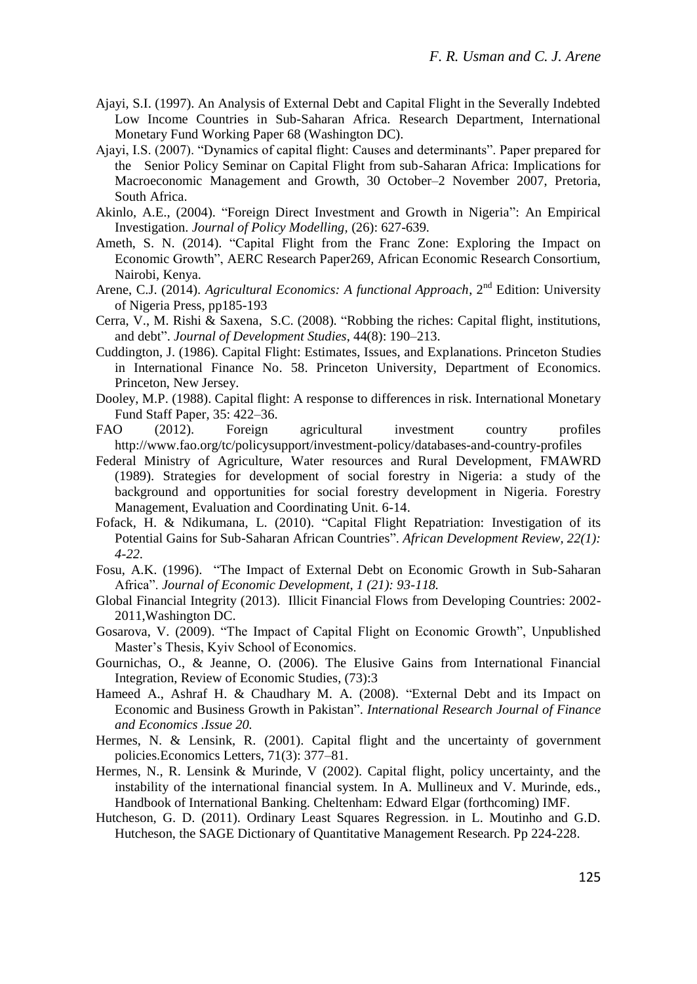- Ajayi, S.I. (1997). An Analysis of External Debt and Capital Flight in the Severally Indebted Low Income Countries in Sub-Saharan Africa. Research Department, International Monetary Fund Working Paper 68 (Washington DC).
- Ajayi, I.S. (2007). "Dynamics of capital flight: Causes and determinants". Paper prepared for the Senior Policy Seminar on Capital Flight from sub-Saharan Africa: Implications for Macroeconomic Management and Growth, 30 October–2 November 2007, Pretoria, South Africa.
- Akinlo, A.E., (2004). "Foreign Direct Investment and Growth in Nigeria": An Empirical Investigation. *Journal of Policy Modelling,* (26): 627-639.
- Ameth, S. N. (2014). "Capital Flight from the Franc Zone: Exploring the Impact on Economic Growth", AERC Research Paper269, African Economic Research Consortium, Nairobi, Kenya.
- Arene, C.J. (2014). *Agricultural Economics: A functional Approach*, 2<sup>nd</sup> Edition: University of Nigeria Press, pp185-193
- Cerra, V., M. Rishi & Saxena, S.C. (2008). "Robbing the riches: Capital flight, institutions, and debt". *Journal of Development Studies*, 44(8): 190–213.
- Cuddington, J. (1986). Capital Flight: Estimates, Issues, and Explanations. Princeton Studies in International Finance No. 58. Princeton University, Department of Economics. Princeton, New Jersey.
- Dooley, M.P. (1988). Capital flight: A response to differences in risk. International Monetary Fund Staff Paper, 35: 422–36.
- FAO (2012). Foreign agricultural investment country profiles http://www.fao.org/tc/policysupport/investment-policy/databases-and-country-profiles
- Federal Ministry of Agriculture, Water resources and Rural Development, FMAWRD (1989). Strategies for development of social forestry in Nigeria: a study of the background and opportunities for social forestry development in Nigeria. Forestry Management, Evaluation and Coordinating Unit. 6-14.
- Fofack, H. & Ndikumana, L. (2010). "Capital Flight Repatriation: Investigation of its Potential Gains for Sub-Saharan African Countries". *African Development Review, 22(1): 4-22.*
- Fosu, A.K. (1996). "The Impact of External Debt on Economic Growth in Sub-Saharan Africa". *Journal of Economic Development, 1 (21): 93-118.*
- Global Financial Integrity (2013). Illicit Financial Flows from Developing Countries: 2002- 2011,Washington DC.
- Gosarova, V. (2009). "The Impact of Capital Flight on Economic Growth", Unpublished Master's Thesis, Kyiv School of Economics.
- Gournichas, O., & Jeanne, O. (2006). The Elusive Gains from International Financial Integration, Review of Economic Studies, (73):3
- Hameed A., Ashraf H. & Chaudhary M. A. (2008). "External Debt and its Impact on Economic and Business Growth in Pakistan". *International Research Journal of Finance and Economics .Issue 20.*
- Hermes, N. & Lensink, R. (2001). Capital flight and the uncertainty of government policies.Economics Letters, 71(3): 377–81.
- Hermes, N., R. Lensink & Murinde, V (2002). Capital flight, policy uncertainty, and the instability of the international financial system. In A. Mullineux and V. Murinde, eds., Handbook of International Banking. Cheltenham: Edward Elgar (forthcoming) IMF.
- Hutcheson, G. D. (2011). Ordinary Least Squares Regression. in L. Moutinho and G.D. Hutcheson, the SAGE Dictionary of Quantitative Management Research. Pp 224-228.